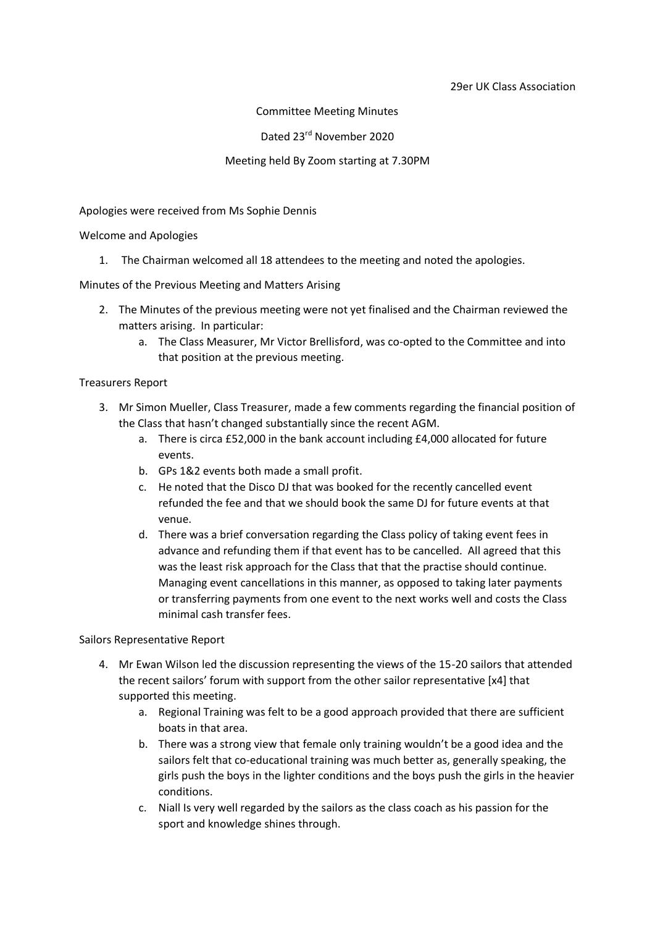#### 29er UK Class Association

## Committee Meeting Minutes

## Dated 23rd November 2020

## Meeting held By Zoom starting at 7.30PM

### Apologies were received from Ms Sophie Dennis

#### Welcome and Apologies

1. The Chairman welcomed all 18 attendees to the meeting and noted the apologies.

Minutes of the Previous Meeting and Matters Arising

- 2. The Minutes of the previous meeting were not yet finalised and the Chairman reviewed the matters arising. In particular:
	- a. The Class Measurer, Mr Victor Brellisford, was co-opted to the Committee and into that position at the previous meeting.

#### Treasurers Report

- 3. Mr Simon Mueller, Class Treasurer, made a few comments regarding the financial position of the Class that hasn't changed substantially since the recent AGM.
	- a. There is circa £52,000 in the bank account including £4,000 allocated for future events.
	- b. GPs 1&2 events both made a small profit.
	- c. He noted that the Disco DJ that was booked for the recently cancelled event refunded the fee and that we should book the same DJ for future events at that venue.
	- d. There was a brief conversation regarding the Class policy of taking event fees in advance and refunding them if that event has to be cancelled. All agreed that this was the least risk approach for the Class that that the practise should continue. Managing event cancellations in this manner, as opposed to taking later payments or transferring payments from one event to the next works well and costs the Class minimal cash transfer fees.

Sailors Representative Report

- 4. Mr Ewan Wilson led the discussion representing the views of the 15-20 sailors that attended the recent sailors' forum with support from the other sailor representative [x4] that supported this meeting.
	- a. Regional Training was felt to be a good approach provided that there are sufficient boats in that area.
	- b. There was a strong view that female only training wouldn't be a good idea and the sailors felt that co-educational training was much better as, generally speaking, the girls push the boys in the lighter conditions and the boys push the girls in the heavier conditions.
	- c. Niall Is very well regarded by the sailors as the class coach as his passion for the sport and knowledge shines through.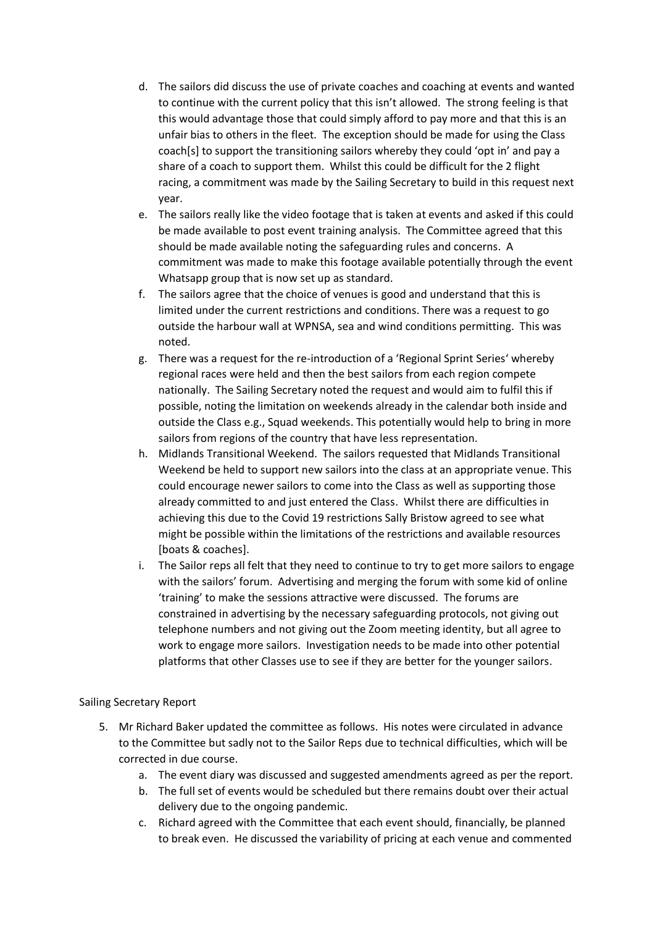- d. The sailors did discuss the use of private coaches and coaching at events and wanted to continue with the current policy that this isn't allowed. The strong feeling is that this would advantage those that could simply afford to pay more and that this is an unfair bias to others in the fleet. The exception should be made for using the Class coach[s] to support the transitioning sailors whereby they could 'opt in' and pay a share of a coach to support them. Whilst this could be difficult for the 2 flight racing, a commitment was made by the Sailing Secretary to build in this request next year.
- e. The sailors really like the video footage that is taken at events and asked if this could be made available to post event training analysis. The Committee agreed that this should be made available noting the safeguarding rules and concerns. A commitment was made to make this footage available potentially through the event Whatsapp group that is now set up as standard.
- f. The sailors agree that the choice of venues is good and understand that this is limited under the current restrictions and conditions. There was a request to go outside the harbour wall at WPNSA, sea and wind conditions permitting. This was noted.
- g. There was a request for the re-introduction of a 'Regional Sprint Series' whereby regional races were held and then the best sailors from each region compete nationally. The Sailing Secretary noted the request and would aim to fulfil this if possible, noting the limitation on weekends already in the calendar both inside and outside the Class e.g., Squad weekends. This potentially would help to bring in more sailors from regions of the country that have less representation.
- h. Midlands Transitional Weekend. The sailors requested that Midlands Transitional Weekend be held to support new sailors into the class at an appropriate venue. This could encourage newer sailors to come into the Class as well as supporting those already committed to and just entered the Class. Whilst there are difficulties in achieving this due to the Covid 19 restrictions Sally Bristow agreed to see what might be possible within the limitations of the restrictions and available resources [boats & coaches].
- i. The Sailor reps all felt that they need to continue to try to get more sailors to engage with the sailors' forum. Advertising and merging the forum with some kid of online 'training' to make the sessions attractive were discussed. The forums are constrained in advertising by the necessary safeguarding protocols, not giving out telephone numbers and not giving out the Zoom meeting identity, but all agree to work to engage more sailors. Investigation needs to be made into other potential platforms that other Classes use to see if they are better for the younger sailors.

## Sailing Secretary Report

- 5. Mr Richard Baker updated the committee as follows. His notes were circulated in advance to the Committee but sadly not to the Sailor Reps due to technical difficulties, which will be corrected in due course.
	- a. The event diary was discussed and suggested amendments agreed as per the report.
	- b. The full set of events would be scheduled but there remains doubt over their actual delivery due to the ongoing pandemic.
	- c. Richard agreed with the Committee that each event should, financially, be planned to break even. He discussed the variability of pricing at each venue and commented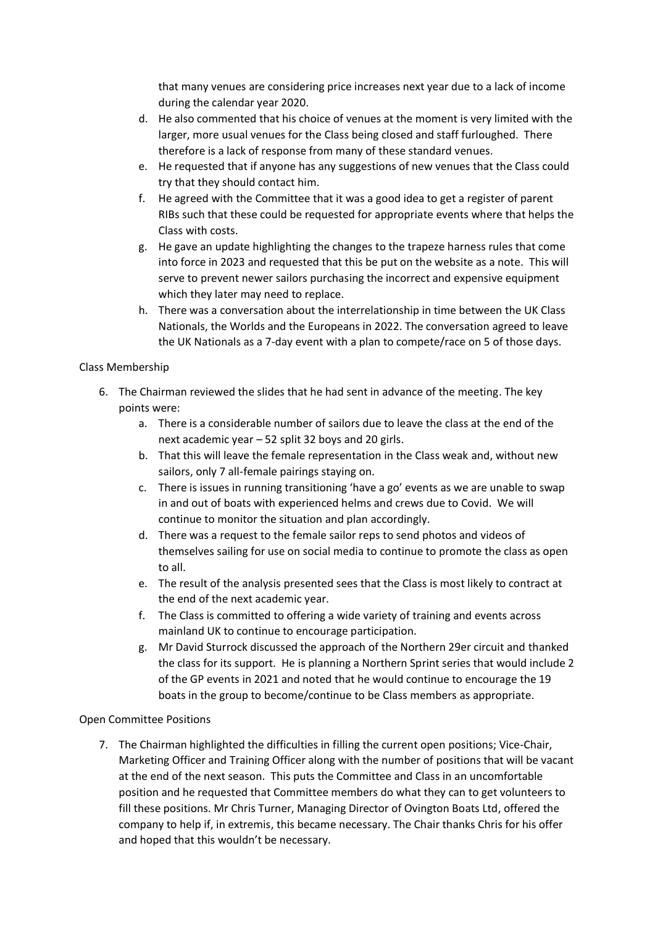that many venues are considering price increases next year due to a lack of income during the calendar year 2020.

- d. He also commented that his choice of venues at the moment is very limited with the larger, more usual venues for the Class being closed and staff furloughed. There therefore is a lack of response from many of these standard venues.
- e. He requested that if anyone has any suggestions of new venues that the Class could try that they should contact him.
- f. He agreed with the Committee that it was a good idea to get a register of parent RIBs such that these could be requested for appropriate events where that helps the Class with costs.
- g. He gave an update highlighting the changes to the trapeze harness rules that come into force in 2023 and requested that this be put on the website as a note. This will serve to prevent newer sailors purchasing the incorrect and expensive equipment which they later may need to replace.
- h. There was a conversation about the interrelationship in time between the UK Class Nationals, the Worlds and the Europeans in 2022. The conversation agreed to leave the UK Nationals as a 7-day event with a plan to compete/race on 5 of those days.

## Class Membership

- 6. The Chairman reviewed the slides that he had sent in advance of the meeting. The key points were:
	- a. There is a considerable number of sailors due to leave the class at the end of the next academic year – 52 split 32 boys and 20 girls.
	- b. That this will leave the female representation in the Class weak and, without new sailors, only 7 all-female pairings staying on.
	- c. There is issues in running transitioning 'have a go' events as we are unable to swap in and out of boats with experienced helms and crews due to Covid. We will continue to monitor the situation and plan accordingly.
	- d. There was a request to the female sailor reps to send photos and videos of themselves sailing for use on social media to continue to promote the class as open to all.
	- e. The result of the analysis presented sees that the Class is most likely to contract at the end of the next academic year.
	- f. The Class is committed to offering a wide variety of training and events across mainland UK to continue to encourage participation.
	- g. Mr David Sturrock discussed the approach of the Northern 29er circuit and thanked the class for its support. He is planning a Northern Sprint series that would include 2 of the GP events in 2021 and noted that he would continue to encourage the 19 boats in the group to become/continue to be Class members as appropriate.

# Open Committee Positions

7. The Chairman highlighted the difficulties in filling the current open positions; Vice-Chair, Marketing Officer and Training Officer along with the number of positions that will be vacant at the end of the next season. This puts the Committee and Class in an uncomfortable position and he requested that Committee members do what they can to get volunteers to fill these positions. Mr Chris Turner, Managing Director of Ovington Boats Ltd, offered the company to help if, in extremis, this became necessary. The Chair thanks Chris for his offer and hoped that this wouldn't be necessary.